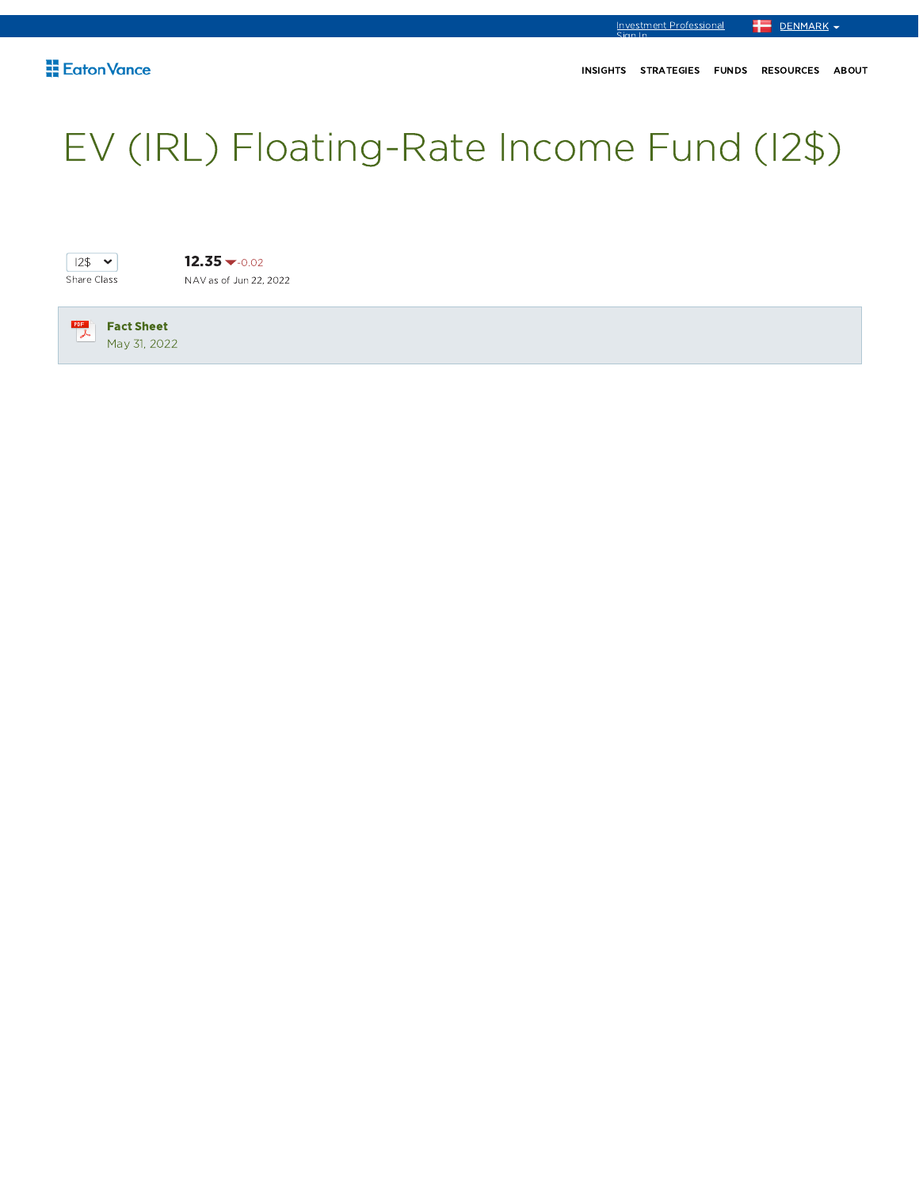# EV (IRL) Floating-Rate Income Fund (I2\$)



 $12.35 - 0.02$ NAV as of Jun 22, 2022

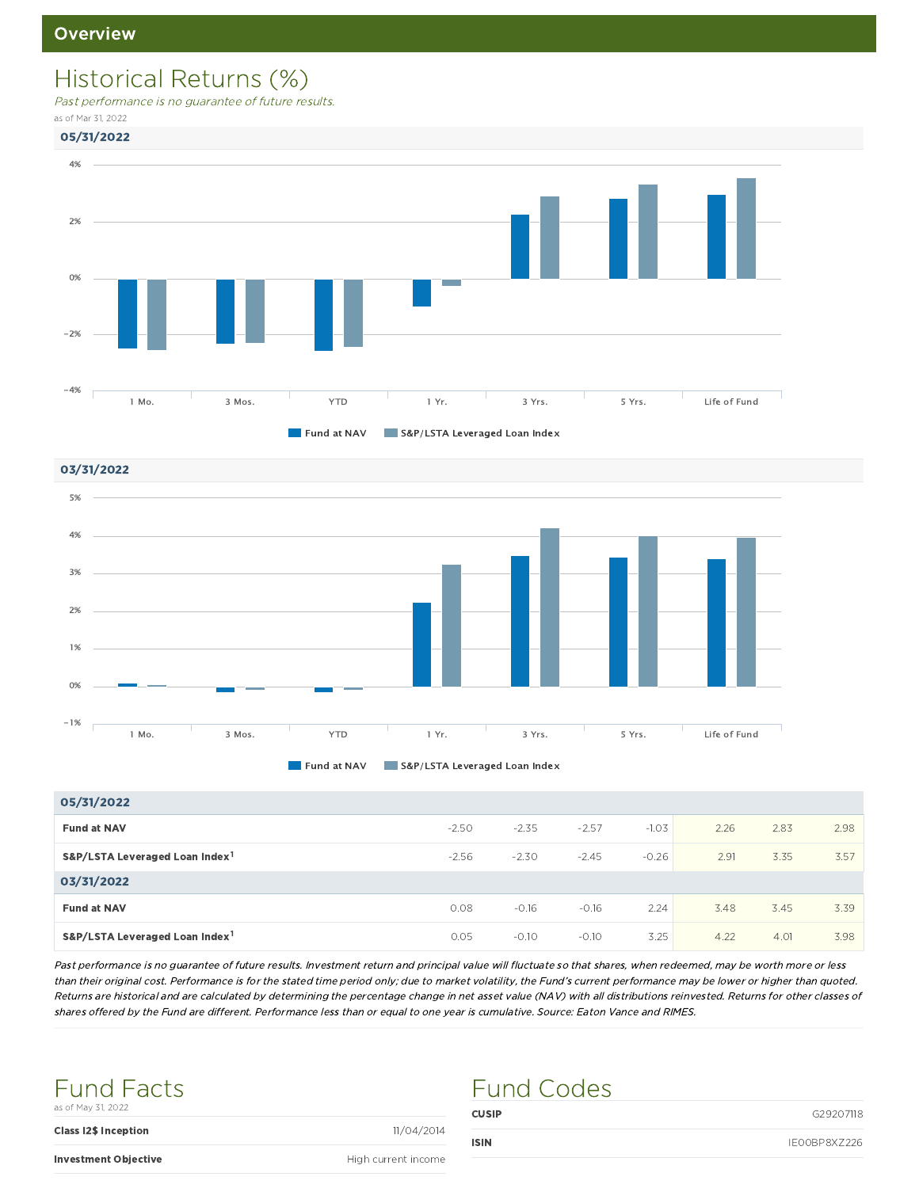### Historical Returns (%)

Past performance is no guarantee of future results.

as of Mar 31, 2022





03/31/2022





| 05/31/2022                                 |         |         |         |         |      |      |      |
|--------------------------------------------|---------|---------|---------|---------|------|------|------|
| <b>Fund at NAV</b>                         | $-2.50$ | $-2.35$ | $-2.57$ | $-1.03$ | 2.26 | 2.83 | 2.98 |
| S&P/LSTA Leveraged Loan Index <sup>1</sup> | $-2.56$ | $-2.30$ | $-2.45$ | $-0.26$ | 2.91 | 3.35 | 3.57 |
| 03/31/2022                                 |         |         |         |         |      |      |      |
| <b>Fund at NAV</b>                         | 0.08    | $-0.16$ | $-0.16$ | 2.24    | 3.48 | 3.45 | 3.39 |
| S&P/LSTA Leveraged Loan Index <sup>1</sup> | 0.05    | $-0.10$ | $-0.10$ | 3.25    | 4.22 | 4.01 | 3.98 |

Past performance is no guarantee of future results. Investment return and principal value will fluctuate so that shares, when redeemed, may be worth more or less than their original cost. Performance is for the stated time period only; due to market volatility, the Fund's current performance may be lower or higher than quoted. Returns are historical and are calculated by determining the percentage change in net asset value (NAV) with all distributions reinvested. Returns for other classes of shares offered by the Fund are different. Performance less than or equal to one year is cumulative. Source: Eaton Vance and RIMES.

Fund Codes



**Class I2\$ Inception** 11/04/2014

CUSIP G29207118

Investment Objective **High current income**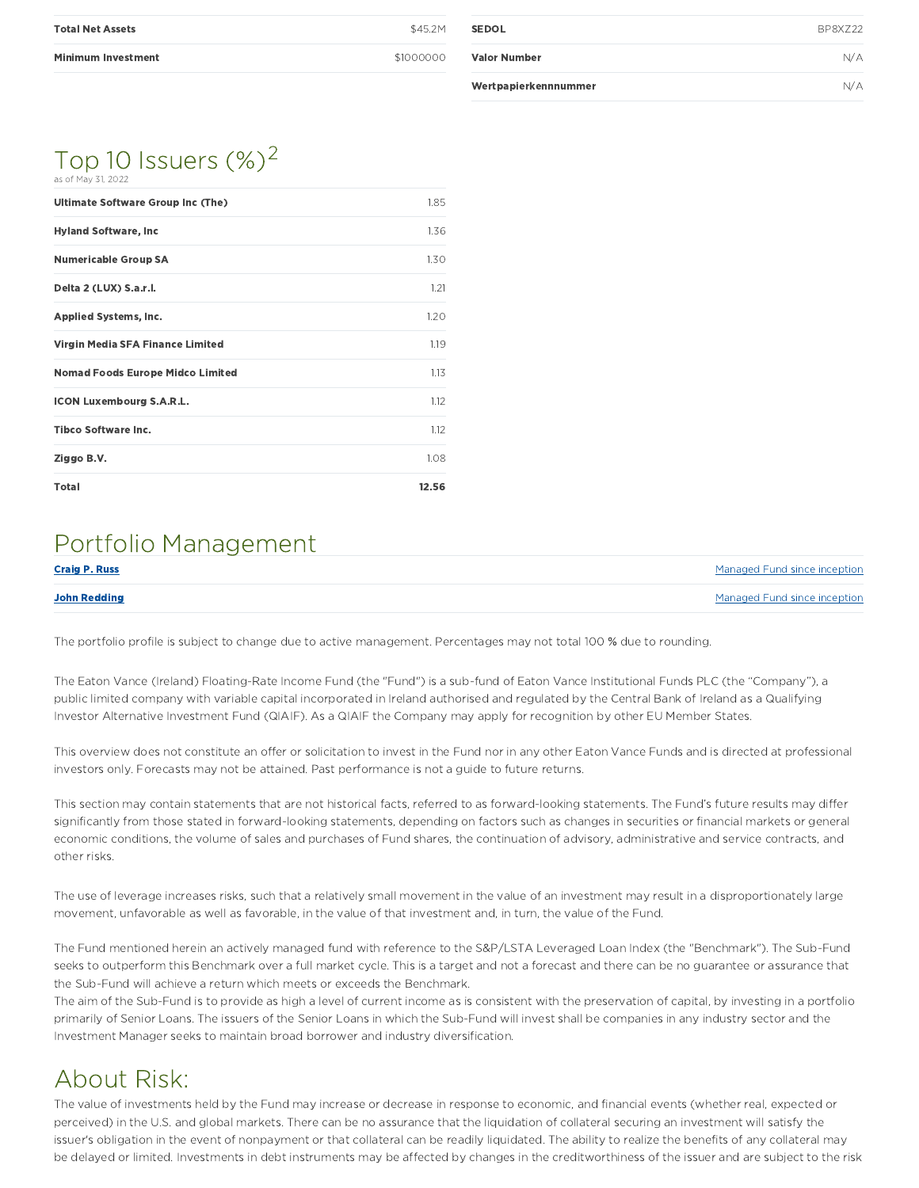| <b>Total Net Assets</b>   | \$45.2M   |
|---------------------------|-----------|
| <b>Minimum Investment</b> | \$1000000 |

| <b>SEDOL</b>         | BP8X722 |
|----------------------|---------|
| <b>Valor Number</b>  | N/A     |
| Wertpapierkennnummer | N/A     |

#### Top 10 Issuers  $(\%)^2$ as of May 31, 2022

| Ultimate Software Group Inc (The)       | 1.85  |
|-----------------------------------------|-------|
| <b>Hyland Software, Inc.</b>            | 1.36  |
| <b>Numericable Group SA</b>             | 1.30  |
| Delta 2 (LUX) S.a.r.l.                  | 1.21  |
| <b>Applied Systems, Inc.</b>            | 1.20  |
| Virgin Media SFA Finance Limited        | 1.19  |
| <b>Nomad Foods Europe Midco Limited</b> | 1.13  |
| <b>ICON Luxembourg S.A.R.L.</b>         | 1.12  |
| <b>Tibco Software Inc.</b>              | 1.12  |
| Ziggo B.V.                              | 1.08  |
| <b>Total</b>                            | 12.56 |

### Portfolio Management

| <b>Craig P. Russ</b> | Managed Fund since inception |
|----------------------|------------------------------|
| <b>John Redding</b>  | Managed Fund since inception |

The portfolio profile is subject to change due to active management. Percentages may not total 100 % due to rounding.

The Eaton Vance (Ireland) Floating-Rate Income Fund (the "Fund") is a sub-fund of Eaton Vance Institutional Funds PLC (the "Company"), a public limited company with variable capital incorporated in Ireland authorised and regulated by the Central Bank of Ireland as a Qualifying Investor Alternative Investment Fund (QIAIF). As a QIAIF the Company may apply for recognition by other EU Member States.

This overview does not constitute an offer or solicitation to invest in the Fund nor in any other Eaton Vance Funds and is directed at professional investors only. Forecasts may not be attained. Past performance is not a guide to future returns.

This section may contain statements that are not historical facts, referred to as forward-looking statements. The Fund's future results may differ significantly from those stated in forward-looking statements, depending on factors such as changes in securities or financial markets or general economic conditions, the volume of sales and purchases of Fund shares, the continuation of advisory, administrative and service contracts, and other risks.

The use of leverage increases risks, such that a relatively small movement in the value of an investment may result in a disproportionately large movement, unfavorable as well as favorable, in the value of that investment and, in turn, the value of the Fund.

The Fund mentioned herein an actively managed fund with reference to the S&P/LSTA Leveraged Loan Index (the "Benchmark"). The Sub-Fund seeks to outperform this Benchmark over a full market cycle. This is a target and not a forecast and there can be no guarantee or assurance that the Sub-Fund will achieve a return which meets or exceeds the Benchmark.

The aim of the Sub-Fund is to provide as high a level of current income as is consistent with the preservation of capital, by investing in a portfolio primarily of Senior Loans. The issuers of the Senior Loans in which the Sub-Fund will invest shall be companies in any industry sector and the Investment Manager seeks to maintain broad borrower and industry diversification.

### About Risk:

The value of investments held by the Fund may increase or decrease in response to economic, and financial events (whether real, expected or perceived) in the U.S. and global markets. There can be no assurance that the liquidation of collateral securing an investment will satisfy the issuer's obligation in the event of nonpayment or that collateral can be readily liquidated. The ability to realize the benefits of any collateral may be delayed or limited. Investments in debt instruments may be affected by changes in the creditworthiness of the issuer and are subject to the risk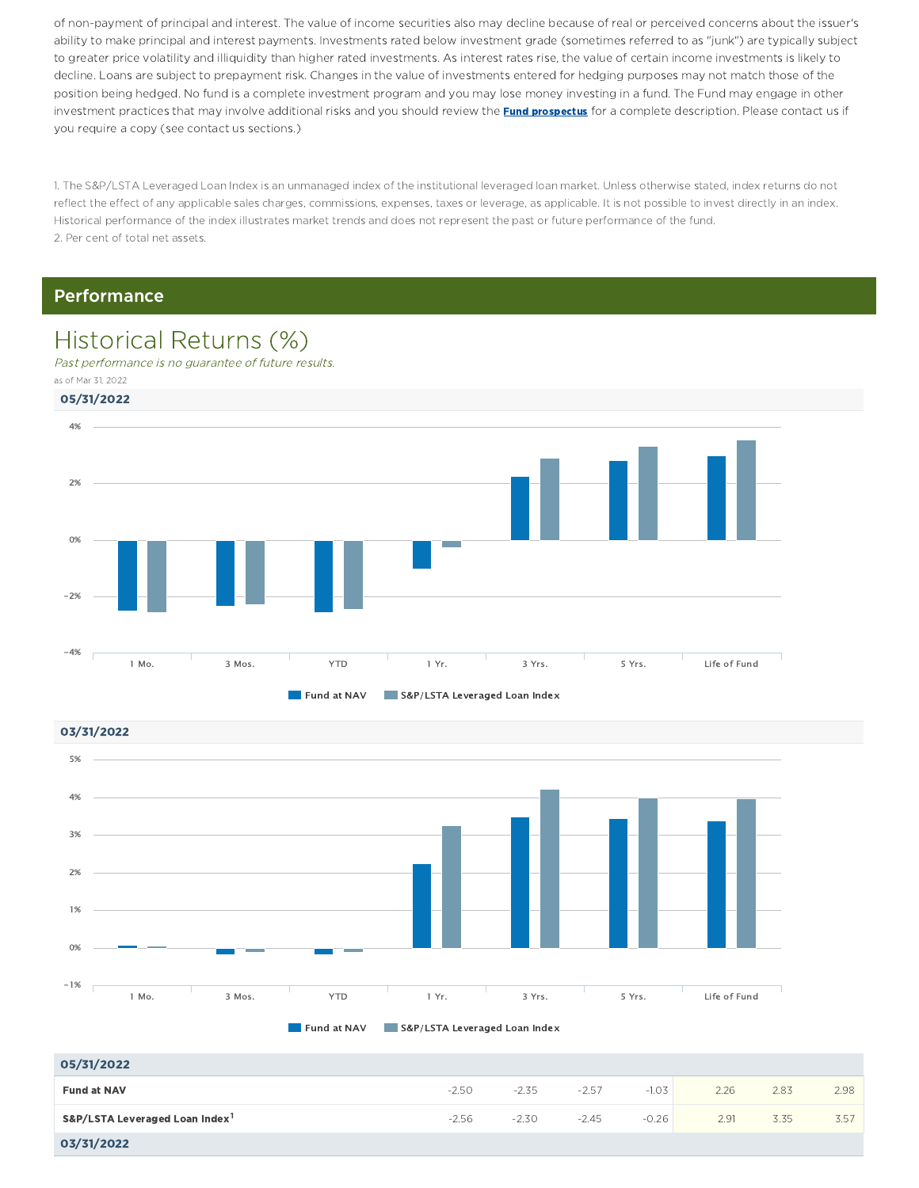of non-payment of principal and interest. The value of income securities also may decline because of real or perceived concerns about the issuer's ability to make principal and interest payments. Investments rated below investment grade (sometimes referred to as "junk") are typically subject to greater price volatility and illiquidity than higher rated investments. As interest rates rise, the value of certain income investments is likely to decline. Loans are subject to prepayment risk. Changes in the value of investments entered for hedging purposes may not match those of the position being hedged. No fund is a complete investment program and you may lose money investing in a fund. The Fund may engage in other investment practices that may involve additional risks and you should review the **Fund prospectus** for a complete description. Please contact us if you require a copy (see contact us sections.)

1. The S&P/LSTA Leveraged Loan Index is an unmanaged index of the institutional leveraged loan market. Unless otherwise stated, index returns do not reflect the effect of any applicable sales charges, commissions, expenses, taxes or leverage, as applicable. It is not possible to invest directly in an index. Historical performance of the index illustrates market trends and does not represent the past or future performance of the fund. 2. Per cent of total net assets.

#### Performance

### Historical Returns (%)

Past performance is no guarantee of future results. as of Mar 31, 2022







| 05/31/2022                                 |         |         |         |         |      |      |      |
|--------------------------------------------|---------|---------|---------|---------|------|------|------|
| <b>Fund at NAV</b>                         | $-2.50$ | $-2.35$ | $-2.57$ | $-1.03$ | 2.26 | 2.83 | 2.98 |
| S&P/LSTA Leveraged Loan Index <sup>1</sup> | $-2.56$ | $-2.30$ | $-2.45$ | $-0.26$ | 2.91 | 3.35 | 3.57 |
| 03/31/2022                                 |         |         |         |         |      |      |      |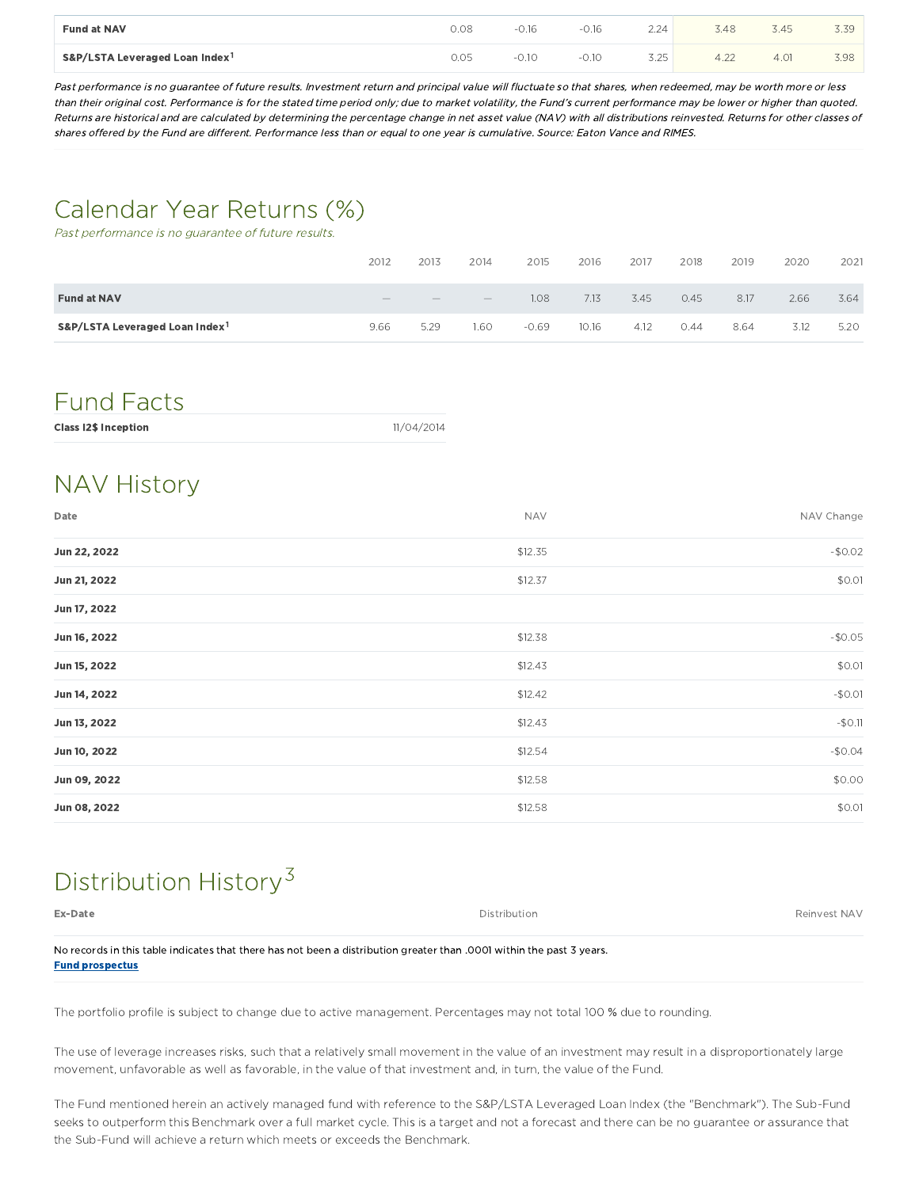| <b>Fund at NAV</b>                         | 0.08 | 0.16     | $-0.16$ | 2.24<br>$\sim$ . $\sim$ $-$ | 3.48 | ,45  |      |
|--------------------------------------------|------|----------|---------|-----------------------------|------|------|------|
| S&P/LSTA Leveraged Loan Index <sup>1</sup> | 0.05 | $0.10 -$ | $-0.10$ | 3.25                        | 4.22 | 4.01 | 3.98 |

Past performance is no guarantee of future results. Investment return and principal value will fluctuate so that shares, when redeemed, may be worth more or less than their original cost. Performance is for the stated time period only; due to market volatility, the Fund's current performance may be lower or higher than quoted. Returns are historical and are calculated by determining the percentage change in net asset value (NAV) with all distributions reinvested. Returns for other classes of shares offered by the Fund are different. Performance less than or equal to one year is cumulative. Source: Eaton Vance and RIMES.

### Calendar Year Returns (%)

Past performance is no guarantee of future results.

|                                            | 2012          | 2013   | 2014                            | 2015    | 2016  | 2017 | 2018 | 2019 | 2020 | 2021 |
|--------------------------------------------|---------------|--------|---------------------------------|---------|-------|------|------|------|------|------|
| <b>Fund at NAV</b>                         | <b>STATES</b> | $\sim$ | $\hspace{0.1mm}-\hspace{0.1mm}$ | 1.08    | 7.13  | 3.45 | 0.45 | 8.17 | 2.66 | 3.64 |
| S&P/LSTA Leveraged Loan Index <sup>1</sup> | 9.66          | 5.29   | 1.60                            | $-0.69$ | 10.16 | 4.12 | 0.44 | 8.64 | 3.12 | 5.20 |

### Fund Facts

| 11/04/2014 |  |
|------------|--|
|            |  |

### NAV History

| Date         | <b>NAV</b> | NAV Change |
|--------------|------------|------------|
| Jun 22, 2022 | \$12.35    | $-$0.02$   |
| Jun 21, 2022 | \$12.37    | \$0.01     |
| Jun 17, 2022 |            |            |
| Jun 16, 2022 | \$12.38    | $-$0.05$   |
| Jun 15, 2022 | \$12.43    | \$0.01     |
| Jun 14, 2022 | \$12.42    | $-$0.01$   |
| Jun 13, 2022 | \$12.43    | $-50.11$   |
| Jun 10, 2022 | \$12.54    | $-$0.04$   |
| Jun 09, 2022 | \$12.58    | \$0.00     |
| Jun 08, 2022 | \$12.58    | \$0.01     |

### Distribution History<sup>3</sup>

| Ex-Date                                                                                                              | Distribution | Reinvest NAV |
|----------------------------------------------------------------------------------------------------------------------|--------------|--------------|
| No records in this table indicates that there has not been a distribution greater than 0001 within the past 3 years. |              |              |
| <b>Fund prospectus</b>                                                                                               |              |              |

The portfolio profile is subject to change due to active management. Percentages may not total 100 % due to rounding.

The use of leverage increases risks, such that a relatively small movement in the value of an investment may result in a disproportionately large movement, unfavorable as well as favorable, in the value of that investment and, in turn, the value of the Fund.

The Fund mentioned herein an actively managed fund with reference to the S&P/LSTA Leveraged Loan Index (the "Benchmark"). The Sub-Fund seeks to outperform this Benchmark over a full market cycle. This is a target and not a forecast and there can be no guarantee or assurance that the Sub-Fund will achieve a return which meets or exceeds the Benchmark.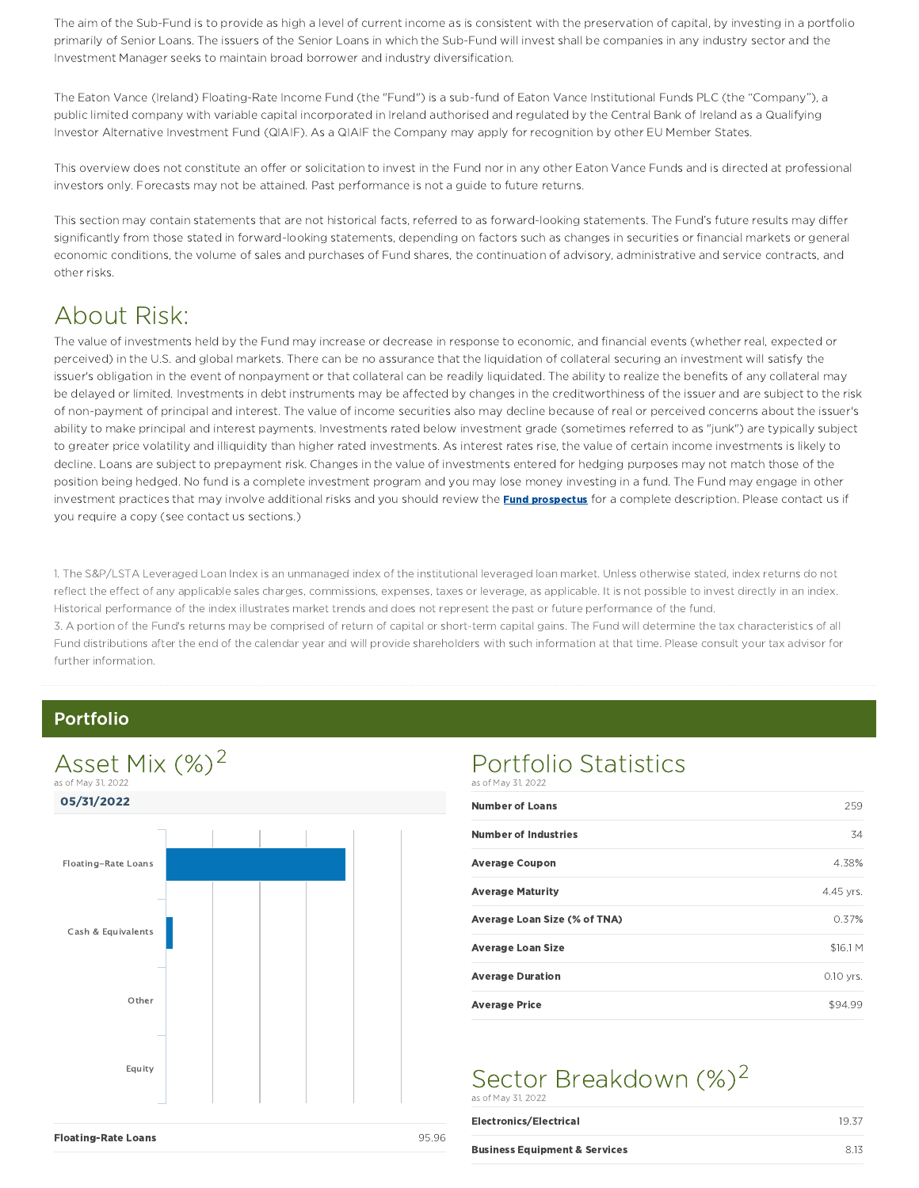The aim of the Sub-Fund is to provide as high a level of current income as is consistent with the preservation of capital, by investing in a portfolio primarily of Senior Loans. The issuers of the Senior Loans in which the Sub-Fund will invest shall be companies in any industry sector and the Investment Manager seeks to maintain broad borrower and industry diversification.

The Eaton Vance (Ireland) Floating-Rate Income Fund (the "Fund") is a sub-fund of Eaton Vance Institutional Funds PLC (the "Company"), a public limited company with variable capital incorporated in Ireland authorised and regulated by the Central Bank of Ireland as a Qualifying Investor Alternative Investment Fund (QIAIF). As a QIAIF the Company may apply for recognition by other EU Member States.

This overview does not constitute an offer or solicitation to invest in the Fund nor in any other Eaton Vance Funds and is directed at professional investors only. Forecasts may not be attained. Past performance is not a guide to future returns.

This section may contain statements that are not historical facts, referred to as forward-looking statements. The Fund's future results may differ significantly from those stated in forward-looking statements, depending on factors such as changes in securities or financial markets or general economic conditions, the volume of sales and purchases of Fund shares, the continuation of advisory, administrative and service contracts, and other risks.

### About Risk:

The value of investments held by the Fund may increase or decrease in response to economic, and financial events (whether real, expected or perceived) in the U.S. and global markets. There can be no assurance that the liquidation of collateral securing an investment will satisfy the issuer's obligation in the event of nonpayment or that collateral can be readily liquidated. The ability to realize the benefits of any collateral may be delayed or limited. Investments in debt instruments may be affected by changes in the creditworthiness of the issuer and are subject to the risk of non-payment of principal and interest. The value of income securities also may decline because of real or perceived concerns about the issuer's ability to make principal and interest payments. Investments rated below investment grade (sometimes referred to as "junk") are typically subject to greater price volatility and illiquidity than higher rated investments. As interest rates rise, the value of certain income investments is likely to decline. Loans are subject to prepayment risk. Changes in the value of investments entered for hedging purposes may not match those of the position being hedged. No fund is a complete investment program and you may lose money investing in a fund. The Fund may engage in other investment practices that may involve additional risks and you should review the **Fund prospectus** for a complete description. Please contact us if you require a copy (see contact us sections.)

1. The S&P/LSTA Leveraged Loan Index is an unmanaged index of the institutional leveraged loan market. Unless otherwise stated, index returns do not reflect the effect of any applicable sales charges, commissions, expenses, taxes or leverage, as applicable. It is not possible to invest directly in an index. Historical performance of the index illustrates market trends and does not represent the past or future performance of the fund. 3. A portion of the Fund's returns may be comprised of return of capital or short-term capital gains. The Fund will determine the tax characteristics of all Fund distributions after the end of the calendar year and will provide shareholders with such information at that time. Please consult your tax advisor for further information.

#### Portfolio



#### Portfolio Statistics as of May 31, 2022

| 259         |
|-------------|
| 34          |
| 4.38%       |
| 4.45 yrs.   |
| 0.37%       |
| \$16.1 M    |
| $0.10$ yrs. |
| \$94.99     |
|             |

#### Sector Breakdown (%)<sup>2</sup> as of May 31, 2022

| Electronics/Electrical                   | 19.37 |
|------------------------------------------|-------|
| <b>Business Equipment &amp; Services</b> | 8.13  |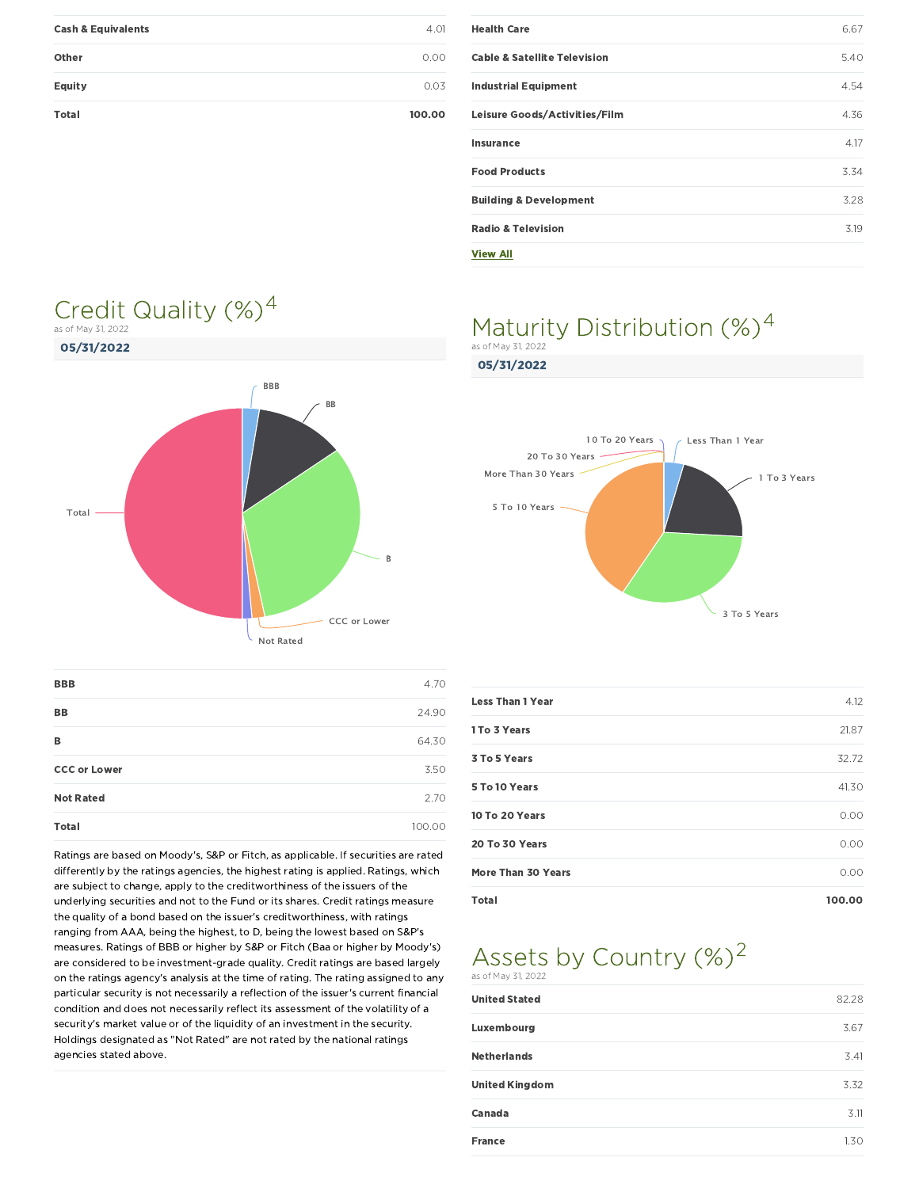| <b>Cash &amp; Equivalents</b> | 4.01   |
|-------------------------------|--------|
| Other                         | 0.00   |
| Equity                        | 0.03   |
| <b>Total</b>                  | 100.00 |

| <b>Health Care</b>                      | 6.67 |
|-----------------------------------------|------|
| <b>Cable &amp; Satellite Television</b> | 5.40 |
| <b>Industrial Equipment</b>             | 4.54 |
| Leisure Goods/Activities/Film           | 4.36 |
| Insurance                               | 4.17 |
| <b>Food Products</b>                    | 3.34 |
| <b>Building &amp; Development</b>       | 3.28 |
| <b>Radio &amp; Television</b>           | 3.19 |
| <b>View All</b>                         |      |

#### Maturity Distribution (%)<sup>4</sup> as of May 31, 2022



Credit Quality  $(\%)^4$ 

as of May 31, 2022

| <b>BBB</b>          | 4.70   |
|---------------------|--------|
| <b>BB</b>           | 24.90  |
| в                   | 64.30  |
| <b>CCC or Lower</b> | 3.50   |
| <b>Not Rated</b>    | 2.70   |
| <b>Total</b>        | 100.00 |

Ratings are based on Moody's, S&P or Fitch, as applicable. If securities are rated differently by the ratings agencies, the highest rating is applied. Ratings, which are subject to change, apply to the creditworthiness of the issuers of the underlying securities and not to the Fund or its shares. Credit ratings measure the quality of a bond based on the issuer's creditworthiness, with ratings ranging from AAA, being the highest, to D, being the lowest based on S&P's measures. Ratings of BBB or higher by S&P or Fitch (Baa or higher by Moody's) are considered to be investment-grade quality. Credit ratings are based largely on the ratings agency's analysis at the time of rating. The rating assigned to any particular security is not necessarily a reflection of the issuer's current financial condition and does not necessarily reflect its assessment of the volatility of a security's market value or of the liquidity of an investment in the security. Holdings designated as "Not Rated" are not rated by the national ratings agencies stated above.

#### 05/31/2022



| <b>Less Than 1 Year</b> | 4.12   |
|-------------------------|--------|
| 1 To 3 Years            | 21.87  |
| 3 To 5 Years            | 32.72  |
| 5 To 10 Years           | 41.30  |
| 10 To 20 Years          | 0.00   |
| 20 To 30 Years          | 0.00   |
| More Than 30 Years      | 0.00   |
| Total                   | 100.00 |

#### Assets by Country  $(\%)^2$ as of May 31, 2022

| <b>United Stated</b>  | 82.28 |
|-----------------------|-------|
| Luxembourg            | 3.67  |
| <b>Netherlands</b>    | 3.41  |
| <b>United Kingdom</b> | 3.32  |
| <b>Canada</b>         | 3.11  |
| <b>France</b>         | 1.30  |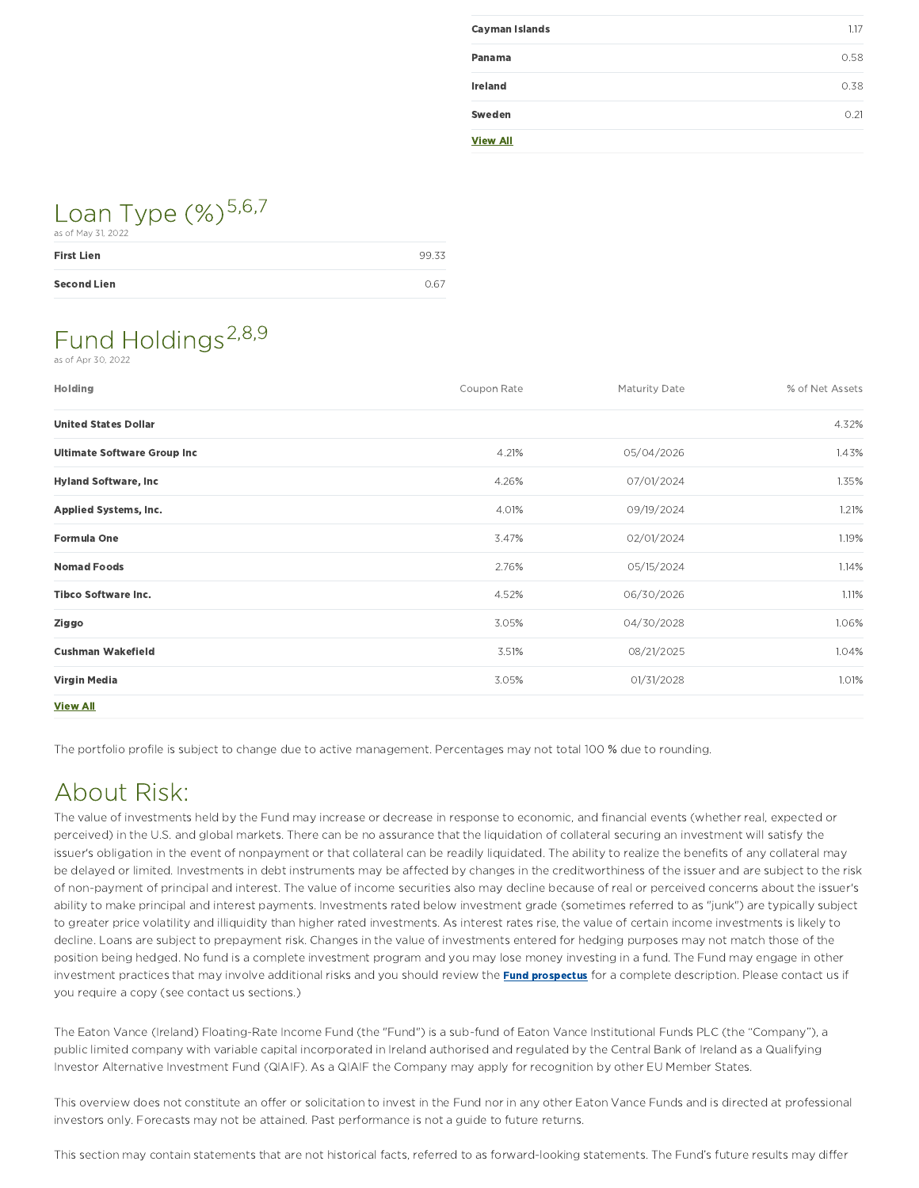| <b>Cayman Islands</b> | 1.17 |
|-----------------------|------|
| Panama                | 0.58 |
| <b>Ireland</b>        | 0.38 |
| Sweden                | 0.21 |
| <b>View All</b>       |      |

## Loan Type (%)<sup>5,6,7</sup>

| as of May 31, 2022 |       |
|--------------------|-------|
| <b>First Lien</b>  | 99.33 |
| <b>Second Lien</b> | 0.67  |

#### Fund Holdings<sup>2,8,9</sup> as of Apr 30, 2022

| Holding                            | Coupon Rate | <b>Maturity Date</b> | % of Net Assets |
|------------------------------------|-------------|----------------------|-----------------|
| <b>United States Dollar</b>        |             |                      | 4.32%           |
| <b>Ultimate Software Group Inc</b> | 4.21%       | 05/04/2026           | 1.43%           |
| <b>Hyland Software, Inc.</b>       | 4.26%       | 07/01/2024           | 1.35%           |
| <b>Applied Systems, Inc.</b>       | 4.01%       | 09/19/2024           | 1.21%           |
| <b>Formula One</b>                 | 3.47%       | 02/01/2024           | 1.19%           |
| <b>Nomad Foods</b>                 | 2.76%       | 05/15/2024           | 1.14%           |
| <b>Tibco Software Inc.</b>         | 4.52%       | 06/30/2026           | 1.11%           |
| Ziggo                              | 3.05%       | 04/30/2028           | 1.06%           |
| <b>Cushman Wakefield</b>           | 3.51%       | 08/21/2025           | 1.04%           |
| Virgin Media                       | 3.05%       | 01/31/2028           | 1.01%           |
| <b>View All</b>                    |             |                      |                 |

The portfolio profile is subject to change due to active management. Percentages may not total 100 % due to rounding.

### About Risk:

The value of investments held by the Fund may increase or decrease in response to economic, and financial events (whether real, expected or perceived) in the U.S. and global markets. There can be no assurance that the liquidation of collateral securing an investment will satisfy the issuer's obligation in the event of nonpayment or that collateral can be readily liquidated. The ability to realize the benefits of any collateral may be delayed or limited. Investments in debt instruments may be affected by changes in the creditworthiness of the issuer and are subject to the risk of non-payment of principal and interest. The value of income securities also may decline because of real or perceived concerns about the issuer's ability to make principal and interest payments. Investments rated below investment grade (sometimes referred to as "junk") are typically subject to greater price volatility and illiquidity than higher rated investments. As interest rates rise, the value of certain income investments is likely to decline. Loans are subject to prepayment risk. Changes in the value of investments entered for hedging purposes may not match those of the position being hedged. No fund is a complete investment program and you may lose money investing in a fund. The Fund may engage in other investment practices that may involve additional risks and you should review the **Fund prospectus** for a complete description. Please contact us if you require a copy (see contact us sections.)

The Eaton Vance (Ireland) Floating-Rate Income Fund (the "Fund") is a sub-fund of Eaton Vance Institutional Funds PLC (the "Company"), a public limited company with variable capital incorporated in Ireland authorised and regulated by the Central Bank of Ireland as a Qualifying Investor Alternative Investment Fund (QIAIF). As a QIAIF the Company may apply for recognition by other EU Member States.

This overview does not constitute an offer or solicitation to invest in the Fund nor in any other Eaton Vance Funds and is directed at professional investors only. Forecasts may not be attained. Past performance is not a guide to future returns.

This section may contain statements that are not historical facts, referred to as forward-looking statements. The Fund's future results may differ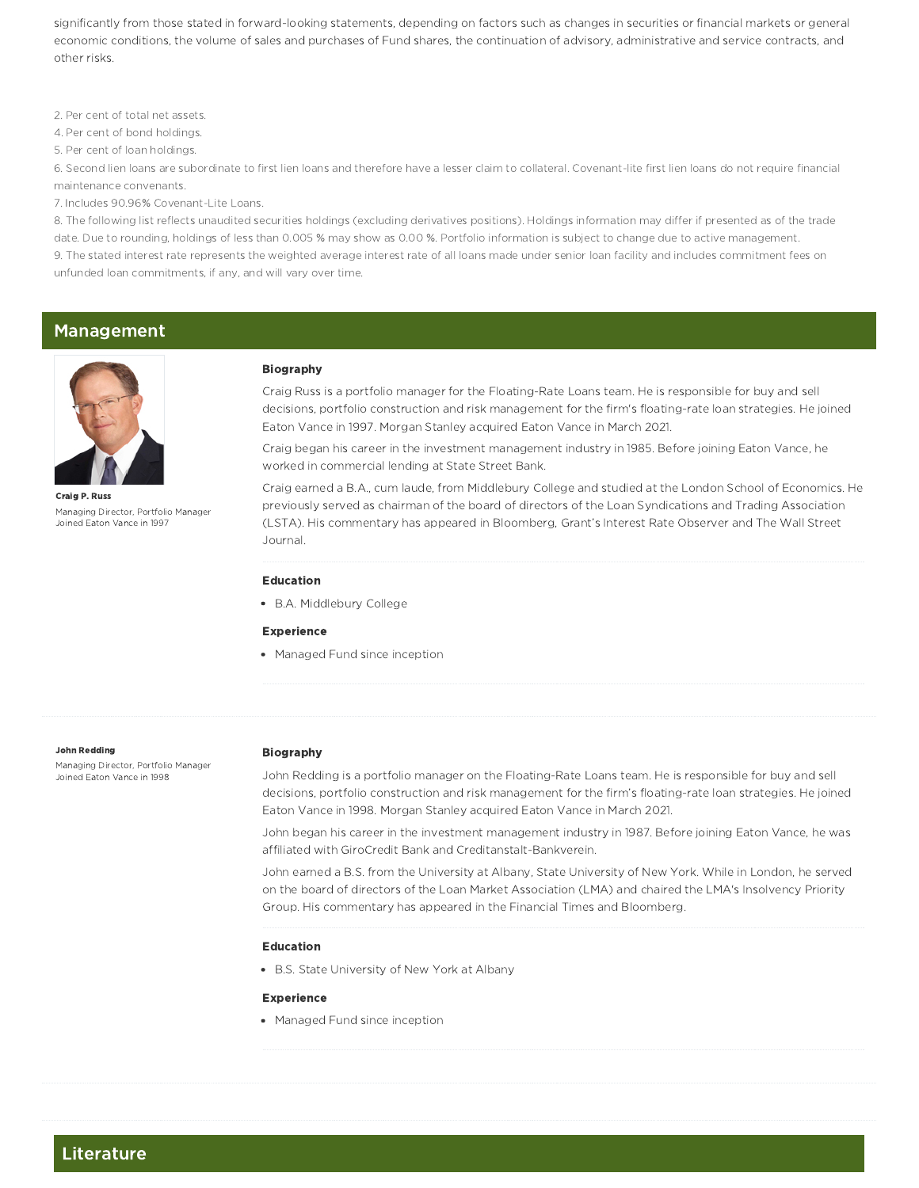significantly from those stated in forward-looking statements, depending on factors such as changes in securities or financial markets or general economic conditions, the volume of sales and purchases of Fund shares, the continuation of advisory, administrative and service contracts, and other risks.

2. Per cent of total net assets.

4. Per cent of bond holdings.

5. Per cent of loan holdings.

6. Second lien loans are subordinate to first lien loans and therefore have a lesser claim to collateral. Covenant-lite first lien loans do not require financial maintenance convenants.

7. Includes 90.96% Covenant-Lite Loans.

8. The following list reflects unaudited securities holdings (excluding derivatives positions). Holdings information may differ if presented as of the trade date. Due to rounding, holdings of less than 0.005 % may show as 0.00 %. Portfolio information is subject to change due to active management. 9. The stated interest rate represents the weighted average interest rate of all loans made under senior loan facility and includes commitment fees on unfunded loan commitments, if any, and will vary over time.

#### Management



Craig P. Russ Managing Director, Portfolio Manager Joined Eaton Vance in 1997

#### Biography

Craig Russ is a portfolio manager for the Floating-Rate Loans team. He is responsible for buy and sell decisions, portfolio construction and risk management for the firm's floating-rate loan strategies. He joined Eaton Vance in 1997. Morgan Stanley acquired Eaton Vance in March 2021.

Craig began his career in the investment management industry in 1985. Before joining Eaton Vance, he worked in commercial lending at State Street Bank.

Craig earned a B.A., cum laude, from Middlebury College and studied at the London School of Economics. He previously served as chairman of the board of directors of the Loan Syndications and Trading Association (LSTA). His commentary has appeared in Bloomberg, Grant's Interest Rate Observer and The Wall Street Journal.

#### Education

B.A. Middlebury College

#### Experience

• Managed Fund since inception

#### John Redding

Managing Director, Portfolio Manager Joined Eaton Vance in 1998

#### Biography

John Redding is a portfolio manager on the Floating-Rate Loans team. He is responsible for buy and sell decisions, portfolio construction and risk management for the firm's floating-rate loan strategies. He joined Eaton Vance in 1998. Morgan Stanley acquired Eaton Vance in March 2021.

John began his career in the investment management industry in 1987. Before joining Eaton Vance, he was affiliated with GiroCredit Bank and Creditanstalt-Bankverein.

John earned a B.S. from the University at Albany, State University of New York. While in London, he served on the board of directors of the Loan Market Association (LMA) and chaired the LMA's Insolvency Priority Group. His commentary has appeared in the Financial Times and Bloomberg.

#### Education

B.S. State University of New York at Albany

#### Experience

• Managed Fund since inception